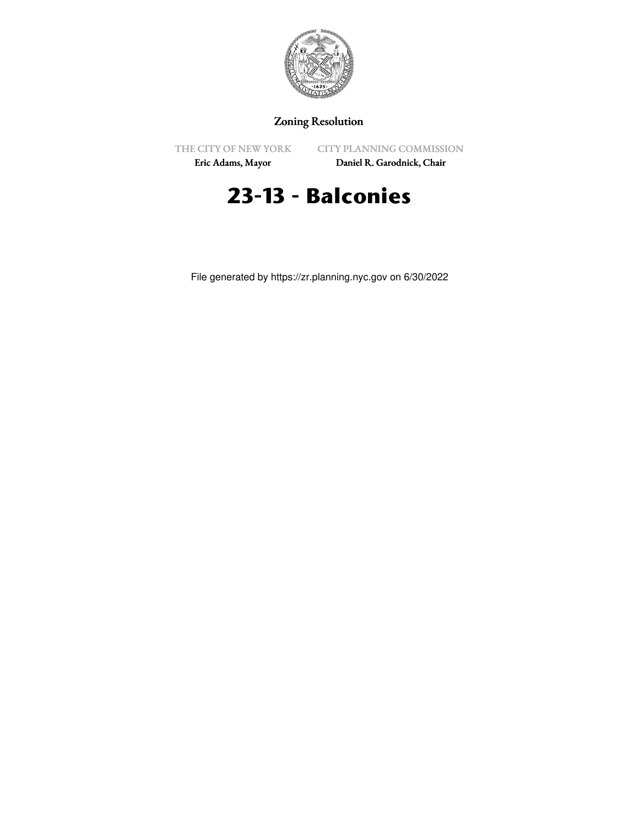

## Zoning Resolution

THE CITY OF NEW YORK

CITY PLANNING COMMISSION

Eric Adams, Mayor

Daniel R. Garodnick, Chair

# **23-13 - Balconies**

File generated by https://zr.planning.nyc.gov on 6/30/2022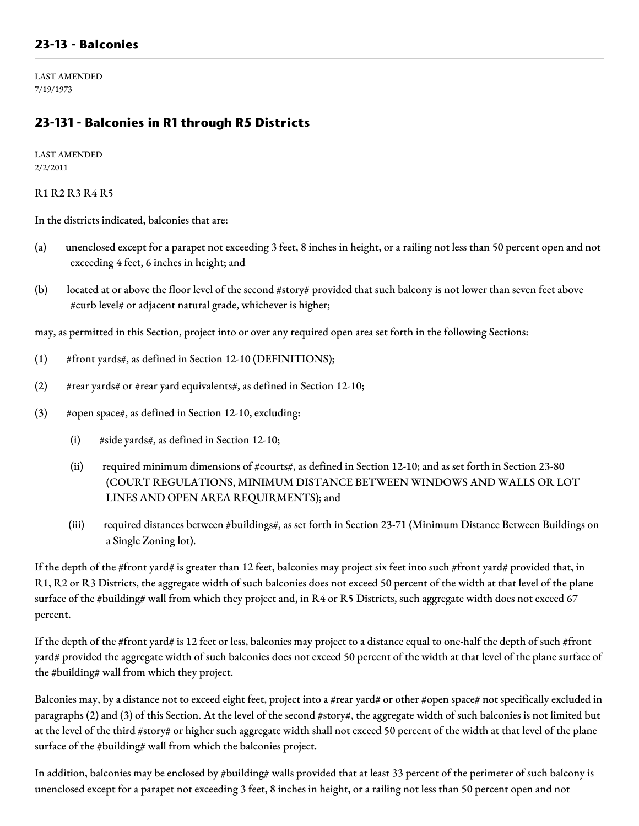#### **23-13 - Balconies**

LAST AMENDED 7/19/1973

### **23-131 - Balconies in R1 through R5 Districts**

LAST AMENDED 2/2/2011

R1 R2 R3 R4 R5

In the districts indicated, balconies that are:

- (a) unenclosed except for a parapet not exceeding 3 feet, 8 inches in height, or a railing not less than 50 percent open and not exceeding 4 feet, 6 inches in height; and
- (b) located at or above the floor level of the second #story# provided that such balcony is not lower than seven feet above #curb level# or adjacent natural grade, whichever is higher;

may, as permitted in this Section, project into or over any required open area set forth in the following Sections:

- (1) #front yards#, as defined in Section 12-10 (DEFINITIONS);
- (2)  $\#$ rear yards# or #rear yard equivalents#, as defined in Section 12-10;
- (3) #open space#, as defined in Section 12-10, excluding:
	- (i) #side yards#, as defined in Section 12-10;
	- (ii) required minimum dimensions of #courts#, as defined in Section 12-10; and as set forth in Section 23-80 (COURT REGULATIONS, MINIMUM DISTANCE BETWEEN WINDOWS AND WALLS OR LOT LINES AND OPEN AREA REQUIRMENTS); and
	- (iii) required distances between #buildings#, as set forth in Section 23-71 (Minimum Distance Between Buildings on a Single Zoning lot).

If the depth of the #front yard# is greater than 12 feet, balconies may project six feet into such #front yard# provided that, in R1, R2 or R3 Districts, the aggregate width of such balconies does not exceed 50 percent of the width at that level of the plane surface of the #building# wall from which they project and, in R4 or R5 Districts, such aggregate width does not exceed 67 percent.

If the depth of the #front yard# is 12 feet or less, balconies may project to a distance equal to one-half the depth of such #front yard# provided the aggregate width of such balconies does not exceed 50 percent of the width at that level of the plane surface of the #building# wall from which they project.

Balconies may, by a distance not to exceed eight feet, project into a #rear yard# or other #open space# not specifically excluded in paragraphs (2) and (3) of this Section. At the level of the second #story#, the aggregate width of such balconies is not limited but at the level of the third #story# or higher such aggregate width shall not exceed 50 percent of the width at that level of the plane surface of the #building# wall from which the balconies project.

In addition, balconies may be enclosed by #building# walls provided that at least 33 percent of the perimeter of such balcony is unenclosed except for a parapet not exceeding 3 feet, 8 inches in height, or a railing not less than 50 percent open and not